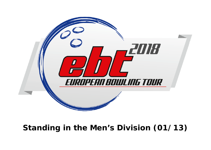

# **Standing in the Men's Division (01/13)**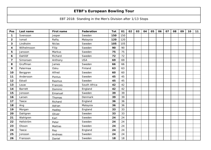## **ETBF's European Bowling Tour**

#### EBT 2018: Standing in the Men's Division after 1/13 Stops

| Pos                     | Last name      | <b>First name</b> | Federation   | <b>Tot</b> | 01  | 02 | 03 | 04 | 05 | 06 | 07 | 08 | 09 | 10 | 11 |
|-------------------------|----------------|-------------------|--------------|------------|-----|----|----|----|----|----|----|----|----|----|----|
| $\mathbf 1$             | Svensson       | Jesper            | Sweden       | 150        | 150 |    |    |    |    |    |    |    |    |    |    |
| $\overline{\mathbf{2}}$ | Ismail         | Rafiq             | Malaysia     | 120        | 120 |    |    |    |    |    |    |    |    |    |    |
| 3                       | Lindholm       | <b>Niclas</b>     | Sweden       | 105        | 105 |    |    |    |    |    |    |    |    |    |    |
| 4                       | Wilhelmsson    | Filip             | Sweden       | 90         | 90  |    |    |    |    |    |    |    |    |    |    |
| 5                       | Jansson        | Markus            | Sweden       | 75         | 75  |    |    |    |    |    |    |    |    |    |    |
| 6                       | Dahllöf        | Richard           | Sweden       | 72         | 72  |    |    |    |    |    |    |    |    |    |    |
| $\overline{7}$          | Simonsen       | Anthony           | <b>USA</b>   | 69         | 69  |    |    |    |    |    |    |    |    |    |    |
| 8                       | Gruffman       | James             | Sweden       | 66         | 66  |    |    |    |    |    |    |    |    |    |    |
| 9                       | Palermaa       | Osku              | Finland      | 63         | 63  |    |    |    |    |    |    |    |    |    |    |
| 10                      | Berggren       | Alfred            | Sweden       | 60         | 60  |    |    |    |    |    |    |    |    |    |    |
| 11                      | Andersson      | Pontus            | Sweden       | 45         | 45  |    |    |    |    |    |    |    |    |    |    |
| 12                      | Edvall         | Rasmus            | Sweden       | 45         | 45  |    |    |    |    |    |    |    |    |    |    |
| 13                      | Louw           | Francois          | South Africa | 42         | 42  |    |    |    |    |    |    |    |    |    |    |
| 14                      | <b>Barrett</b> | Dominic           | England      | 42         | 42  |    |    |    |    |    |    |    |    |    |    |
| 15                      | Jonsson        | Emanuel           | Sweden       | 39         | 39  |    |    |    |    |    |    |    |    |    |    |
| 16                      | Larsen         | Thomas            | Denmark      | 39         | 39  |    |    |    |    |    |    |    |    |    |    |
| 17                      | Teece          | Richard           | England      | 36         | 36  |    |    |    |    |    |    |    |    |    |    |
| 18                      | Ang            | Adrian            | Malaysia     | 36         | 36  |    |    |    |    |    |    |    |    |    |    |
| 19                      | Morgan         | Hadley            | England      | 33         | 33  |    |    |    |    |    |    |    |    |    |    |
| 20                      | Dahlgren       | Oliver            | Sweden       | 33         | 33  |    |    |    |    |    |    |    |    |    |    |
| 21                      | Wahlgren       | Karl              | Sweden       | 24         | 24  |    |    |    |    |    |    |    |    |    |    |
| 22                      | Hellström      | Peter             | Sweden       | 24         | 24  |    |    |    |    |    |    |    |    |    |    |
| 23                      | Olsson         | Mattias           | Sweden       | 24         | 24  |    |    |    |    |    |    |    |    |    |    |
| 24                      | Teece          | Ray               | England      | 24         | 24  |    |    |    |    |    |    |    |    |    |    |
| 25                      | Jonsson        | Andreas           | Sweden       | 24         | 24  |    |    |    |    |    |    |    |    |    |    |
| 26                      | Fransson       | Daniel            | Sweden       | 18         | 18  |    |    |    |    |    |    |    |    |    |    |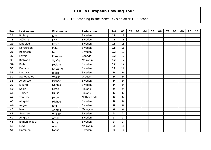## **ETBF's European Bowling Tour**

EBT 2018: Standing in the Men's Division after 1/13 Stops

| Pos | Last name      | <b>First name</b> | Federation  | <b>Tot</b> | 01           | 02 | 03 | 04 | 05 | 06 | 07 | 08 | 09 | 10 | 11 |
|-----|----------------|-------------------|-------------|------------|--------------|----|----|----|----|----|----|----|----|----|----|
| 27  | <b>Bolleby</b> | Kim               | Sweden      | 18         | 18           |    |    |    |    |    |    |    |    |    |    |
| 28  | Sjöberg        | Eric              | Sweden      | 18         | 18           |    |    |    |    |    |    |    |    |    |    |
| 29  | Lindbladh      | Kevin             | Sweden      | 18         | 18           |    |    |    |    |    |    |    |    |    |    |
| 30  | Nordenson      | Peter             | Sweden      | 18         | 18           |    |    |    |    |    |    |    |    |    |    |
| 31  | Robinson       | lan               | Sweden      | 12         | 12           |    |    |    |    |    |    |    |    |    |    |
| 32  | Lavoie         | Francois          | Canada      | 12         | 12           |    |    |    |    |    |    |    |    |    |    |
| 33  | Ridhwan        | Syafiq            | Malaysia    | 12         | 12           |    |    |    |    |    |    |    |    |    |    |
| 34  | Biehl          | Joakim            | Sweden      | 12         | 12           |    |    |    |    |    |    |    |    |    |    |
| 35  | Persson        | Kristoffer        | Sweden      | 12         | 12           |    |    |    |    |    |    |    |    |    |    |
| 36  | Lindqvist      | Björn             | Sweden      | 9          | 9            |    |    |    |    |    |    |    |    |    |    |
| 37  | Stefopoulos    | Vasilis           | Greece      | 9          | 9            |    |    |    |    |    |    |    |    |    |    |
| 38  | Andersson      | Michael           | Sweden      | 9          | 9            |    |    |    |    |    |    |    |    |    |    |
| 39  | Eklund         | Dennis            | Sweden      | 9          | 9            |    |    |    |    |    |    |    |    |    |    |
| 40  | Kallio         | Jesse             | Finland     | 9          | 9            |    |    |    |    |    |    |    |    |    |    |
| 41  | Tiainen        | Juuso             | Finland     | 6          | 6            |    |    |    |    |    |    |    |    |    |    |
| 42  | van Geel       | Jeroen            | Netherlands | 6          | 6            |    |    |    |    |    |    |    |    |    |    |
| 43  | Ahlqvist       | Michael           | Sweden      | 6          | 6            |    |    |    |    |    |    |    |    |    |    |
| 44  | Aagren         | Emil              | Sweden      | 6          | 6            |    |    |    |    |    |    |    |    |    |    |
| 45  | Muaz           | Ahmad             | Malaysia    | 6          | 6            |    |    |    |    |    |    |    |    |    |    |
| 46  | Svensson       | William           | Sweden      | 3          | $\mathbf{3}$ |    |    |    |    |    |    |    |    |    |    |
| 47  | Ahlgren        | Anton             | Sweden      | 3          | 3            |    |    |    |    |    |    |    |    |    |    |
| 48  | Ekman-Wogel    | Jerry             | Sweden      | 3          | 3            |    |    |    |    |    |    |    |    |    |    |
| 49  | Liew           | Alex              | Malaysia    | 3          | $\mathbf{3}$ |    |    |    |    |    |    |    |    |    |    |
| 50  | Dammen         | Jonas             | Sweden      | 3          | 3            |    |    |    |    |    |    |    |    |    |    |